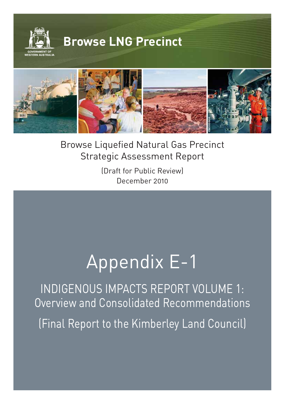

Browse Liquefied Natural Gas Precinct Strategic Assessment Report

**©WOODSIDE**

(Draft for Public Review) December 2010

# Appendix E-1

INDIGENOUS IMPACTS REPORT VOLUME 1: Overview and Consolidated Recommendations (Final Report to the Kimberley Land Council)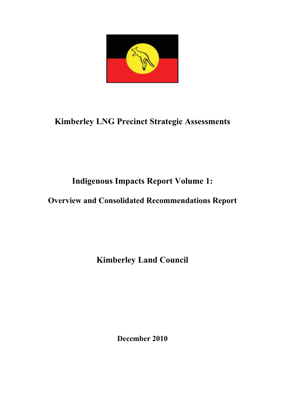

# **Kimberley LNG Precinct Strategic Assessments**

# **Indigenous Impacts Report Volume 1:**

# **Overview and Consolidated Recommendations Report**

**Kimberley Land Council**

**December 2010**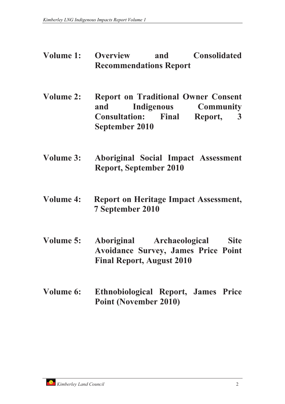- **Volume 1: Overview and Consolidated Recommendations Report**
- **Volume 2: Report on Traditional Owner Consent and Indigenous Community Consultation: Final Report, 3 September 2010**
- **Volume 3: Aboriginal Social Impact Assessment Report, September 2010**
- **Volume 4: Report on Heritage Impact Assessment, 7 September 2010**
- **Volume 5: Aboriginal Archaeological Site Avoidance Survey, James Price Point Final Report, August 2010**
- **Volume 6: Ethnobiological Report, James Price Point (November 2010)**

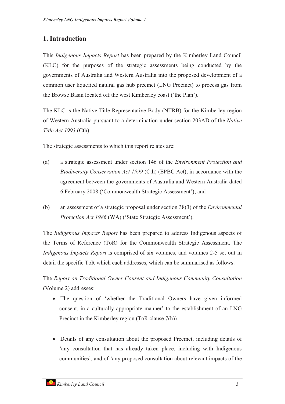# **1. Introduction**

This *Indigenous Impacts Report* has been prepared by the Kimberley Land Council (KLC) for the purposes of the strategic assessments being conducted by the governments of Australia and Western Australia into the proposed development of a common user liquefied natural gas hub precinct (LNG Precinct) to process gas from the Browse Basin located off the west Kimberley coast ('the Plan').

The KLC is the Native Title Representative Body (NTRB) for the Kimberley region of Western Australia pursuant to a determination under section 203AD of the *Native Title Act 1993* (Cth).

The strategic assessments to which this report relates are:

- (a) a strategic assessment under section 146 of the *Environment Protection and Biodiversity Conservation Act 1999* (Cth) (EPBC Act), in accordance with the agreement between the governments of Australia and Western Australia dated 6 February 2008 ('Commonwealth Strategic Assessment'); and
- (b) an assessment of a strategic proposal under section 38(3) of the *Environmental Protection Act 1986* (WA) ('State Strategic Assessment').

The *Indigenous Impacts Report* has been prepared to address Indigenous aspects of the Terms of Reference (ToR) for the Commonwealth Strategic Assessment. The *Indigenous Impacts Report* is comprised of six volumes, and volumes 2-5 set out in detail the specific ToR which each addresses, which can be summarised as follows:

The *Report on Traditional Owner Consent and Indigenous Community Consultation* (Volume 2) addresses:

- The question of 'whether the Traditional Owners have given informed consent, in a culturally appropriate manner' to the establishment of an LNG Precinct in the Kimberley region (ToR clause 7(h)).
- Details of any consultation about the proposed Precinct, including details of 'any consultation that has already taken place, including with Indigenous communities', and of 'any proposed consultation about relevant impacts of the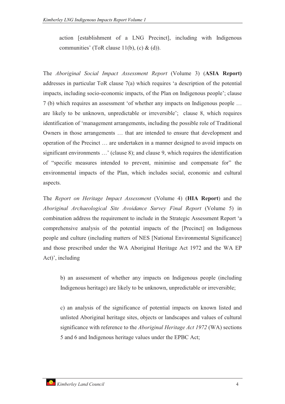action [establishment of a LNG Precinct], including with Indigenous communities' (ToR clause  $11(b)$ , (c) & (d)).

The *Aboriginal Social Impact Assessment Report* (Volume 3) (**ASIA Report)** addresses in particular ToR clause 7(a) which requires 'a description of the potential impacts, including socio-economic impacts, of the Plan on Indigenous people'; clause 7 (b) which requires an assessment 'of whether any impacts on Indigenous people … are likely to be unknown, unpredictable or irreversible'; clause 8, which requires identification of 'management arrangements, including the possible role of Traditional Owners in those arrangements … that are intended to ensure that development and operation of the Precinct … are undertaken in a manner designed to avoid impacts on significant environments …' (clause 8); and clause 9, which requires the identification of "specific measures intended to prevent, minimise and compensate for" the environmental impacts of the Plan, which includes social, economic and cultural aspects.

The *Report on Heritage Impact Assessment* (Volume 4) (**HIA Report**) and the *Aboriginal Archaeological Site Avoidance Survey Final Report* (Volume 5) in combination address the requirement to include in the Strategic Assessment Report 'a comprehensive analysis of the potential impacts of the [Precinct] on Indigenous people and culture (including matters of NES [National Environmental Significance] and those prescribed under the WA Aboriginal Heritage Act 1972 and the WA EP Act)', including

b) an assessment of whether any impacts on Indigenous people (including Indigenous heritage) are likely to be unknown, unpredictable or irreversible;

c) an analysis of the significance of potential impacts on known listed and unlisted Aboriginal heritage sites, objects or landscapes and values of cultural significance with reference to the *Aboriginal Heritage Act 1972* (WA) sections 5 and 6 and Indigenous heritage values under the EPBC Act;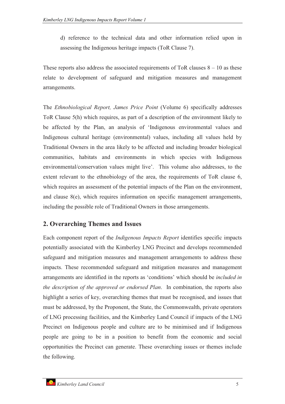d) reference to the technical data and other information relied upon in assessing the Indigenous heritage impacts (ToR Clause 7).

These reports also address the associated requirements of ToR clauses  $8 - 10$  as these relate to development of safeguard and mitigation measures and management arrangements.

The *Ethnobiological Report, James Price Point* (Volume 6) specifically addresses ToR Clause 5(h) which requires, as part of a description of the environment likely to be affected by the Plan, an analysis of 'Indigenous environmental values and Indigenous cultural heritage (environmental) values, including all values held by Traditional Owners in the area likely to be affected and including broader biological communities, habitats and environments in which species with Indigenous environmental/conservation values might live'. This volume also addresses, to the extent relevant to the ethnobiology of the area, the requirements of ToR clause 6, which requires an assessment of the potential impacts of the Plan on the environment, and clause 8(e), which requires information on specific management arrangements, including the possible role of Traditional Owners in those arrangements.

# **2. Overarching Themes and Issues**

Each component report of the *Indigenous Impacts Report* identifies specific impacts potentially associated with the Kimberley LNG Precinct and develops recommended safeguard and mitigation measures and management arrangements to address these impacts. These recommended safeguard and mitigation measures and management arrangements are identified in the reports as 'conditions' which should be *included in the description of the approved or endorsed Plan*. In combination, the reports also highlight a series of key, overarching themes that must be recognised, and issues that must be addressed, by the Proponent, the State, the Commonwealth, private operators of LNG processing facilities, and the Kimberley Land Council if impacts of the LNG Precinct on Indigenous people and culture are to be minimised and if Indigenous people are going to be in a position to benefit from the economic and social opportunities the Precinct can generate. These overarching issues or themes include the following.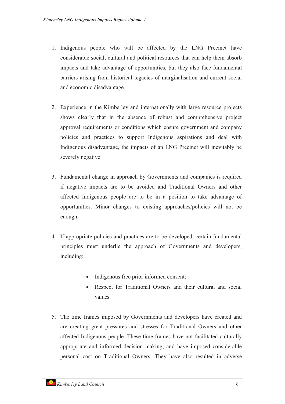- 1. Indigenous people who will be affected by the LNG Precinct have considerable social, cultural and political resources that can help them absorb impacts and take advantage of opportunities, but they also face fundamental barriers arising from historical legacies of marginalisation and current social and economic disadvantage.
- 2. Experience in the Kimberley and internationally with large resource projects shows clearly that in the absence of robust and comprehensive project approval requirements or conditions which ensure government and company policies and practices to support Indigenous aspirations and deal with Indigenous disadvantage, the impacts of an LNG Precinct will inevitably be severely negative.
- 3. Fundamental change in approach by Governments and companies is required if negative impacts are to be avoided and Traditional Owners and other affected Indigenous people are to be in a position to take advantage of opportunities. Minor changes to existing approaches/policies will not be enough.
- 4. If appropriate policies and practices are to be developed, certain fundamental principles must underlie the approach of Governments and developers, including:
	- -Indigenous free prior informed consent;
	- - Respect for Traditional Owners and their cultural and social values.
- 5. The time frames imposed by Governments and developers have created and are creating great pressures and stresses for Traditional Owners and other affected Indigenous people. These time frames have not facilitated culturally appropriate and informed decision making, and have imposed considerable personal cost on Traditional Owners. They have also resulted in adverse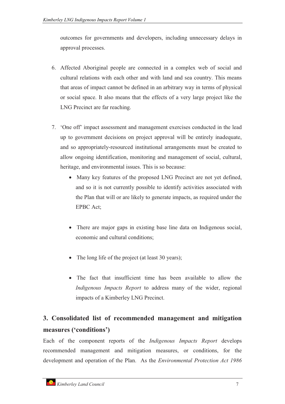outcomes for governments and developers, including unnecessary delays in approval processes.

- 6. Affected Aboriginal people are connected in a complex web of social and cultural relations with each other and with land and sea country. This means that areas of impact cannot be defined in an arbitrary way in terms of physical or social space. It also means that the effects of a very large project like the LNG Precinct are far reaching.
- 7. 'One off' impact assessment and management exercises conducted in the lead up to government decisions on project approval will be entirely inadequate, and so appropriately-resourced institutional arrangements must be created to allow ongoing identification, monitoring and management of social, cultural, heritage, and environmental issues. This is so because:
	- Many key features of the proposed LNG Precinct are not yet defined, and so it is not currently possible to identify activities associated with the Plan that will or are likely to generate impacts, as required under the EPBC Act;
	- There are major gaps in existing base line data on Indigenous social, economic and cultural conditions;
	- The long life of the project (at least 30 years);
	- The fact that insufficient time has been available to allow the *Indigenous Impacts Report* to address many of the wider, regional impacts of a Kimberley LNG Precinct.

# **3. Consolidated list of recommended management and mitigation measures ('conditions')**

Each of the component reports of the *Indigenous Impacts Report* develops recommended management and mitigation measures, or conditions, for the development and operation of the Plan. As the *Environmental Protection Act 1986*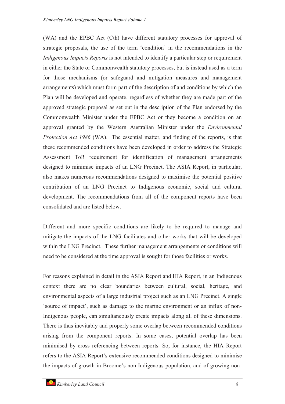(WA) and the EPBC Act (Cth) have different statutory processes for approval of strategic proposals, the use of the term 'condition' in the recommendations in the *Indigenous Impacts Reports* is not intended to identify a particular step or requirement in either the State or Commonwealth statutory processes, but is instead used as a term for those mechanisms (or safeguard and mitigation measures and management arrangements) which must form part of the description of and conditions by which the Plan will be developed and operate, regardless of whether they are made part of the approved strategic proposal as set out in the description of the Plan endorsed by the Commonwealth Minister under the EPBC Act or they become a condition on an approval granted by the Western Australian Minister under the *Environmental Protection Act 1986* (WA). The essential matter, and finding of the reports, is that these recommended conditions have been developed in order to address the Strategic Assessment ToR requirement for identification of management arrangements designed to minimise impacts of an LNG Precinct. The ASIA Report, in particular, also makes numerous recommendations designed to maximise the potential positive contribution of an LNG Precinct to Indigenous economic, social and cultural development. The recommendations from all of the component reports have been consolidated and are listed below.

Different and more specific conditions are likely to be required to manage and mitigate the impacts of the LNG facilitates and other works that will be developed within the LNG Precinct. These further management arrangements or conditions will need to be considered at the time approval is sought for those facilities or works.

For reasons explained in detail in the ASIA Report and HIA Report, in an Indigenous context there are no clear boundaries between cultural, social, heritage, and environmental aspects of a large industrial project such as an LNG Precinct. A single 'source of impact', such as damage to the marine environment or an influx of non-Indigenous people, can simultaneously create impacts along all of these dimensions. There is thus inevitably and properly some overlap between recommended conditions arising from the component reports. In some cases, potential overlap has been minimised by cross referencing between reports. So, for instance, the HIA Report refers to the ASIA Report's extensive recommended conditions designed to minimise the impacts of growth in Broome's non-Indigenous population, and of growing non-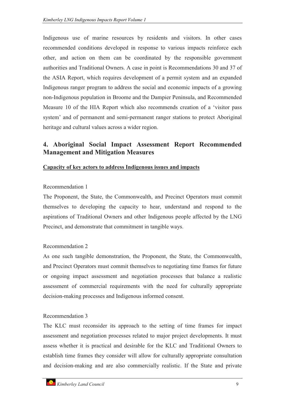Indigenous use of marine resources by residents and visitors. In other cases recommended conditions developed in response to various impacts reinforce each other, and action on them can be coordinated by the responsible government authorities and Traditional Owners. A case in point is Recommendations 30 and 37 of the ASIA Report, which requires development of a permit system and an expanded Indigenous ranger program to address the social and economic impacts of a growing non-Indigenous population in Broome and the Dampier Peninsula, and Recommended Measure 10 of the HIA Report which also recommends creation of a 'visitor pass system' and of permanent and semi-permanent ranger stations to protect Aboriginal heritage and cultural values across a wider region.

# **4. Aboriginal Social Impact Assessment Report Recommended Management and Mitigation Measures**

#### **Capacity of key actors to address Indigenous issues and impacts**

#### Recommendation 1

The Proponent, the State, the Commonwealth, and Precinct Operators must commit themselves to developing the capacity to hear, understand and respond to the aspirations of Traditional Owners and other Indigenous people affected by the LNG Precinct, and demonstrate that commitment in tangible ways.

# Recommendation 2

As one such tangible demonstration, the Proponent, the State, the Commonwealth, and Precinct Operators must commit themselves to negotiating time frames for future or ongoing impact assessment and negotiation processes that balance a realistic assessment of commercial requirements with the need for culturally appropriate decision-making processes and Indigenous informed consent.

# Recommendation 3

The KLC must reconsider its approach to the setting of time frames for impact assessment and negotiation processes related to major project developments. It must assess whether it is practical and desirable for the KLC and Traditional Owners to establish time frames they consider will allow for culturally appropriate consultation and decision-making and are also commercially realistic. If the State and private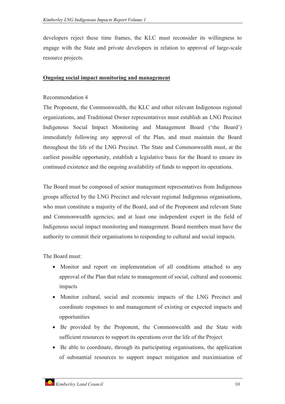developers reject these time frames, the KLC must reconsider its willingness to engage with the State and private developers in relation to approval of large-scale resource projects.

#### **Ongoing social impact monitoring and management**

#### Recommendation 4

The Proponent, the Commonwealth, the KLC and other relevant Indigenous regional organizations, and Traditional Owner representatives must establish an LNG Precinct Indigenous Social Impact Monitoring and Management Board ('the Board') immediately following any approval of the Plan, and must maintain the Board throughout the life of the LNG Precinct. The State and Commonwealth must, at the earliest possible opportunity, establish a legislative basis for the Board to ensure its continued existence and the ongoing availability of funds to support its operations.

The Board must be composed of senior management representatives from Indigenous groups affected by the LNG Precinct and relevant regional Indigenous organisations, who must constitute a majority of the Board, and of the Proponent and relevant State and Commonwealth agencies; and at least one independent expert in the field of Indigenous social impact monitoring and management. Board members must have the authority to commit their organisations to responding to cultural and social impacts.

The Board must:

- Monitor and report on implementation of all conditions attached to any approval of the Plan that relate to management of social, cultural and economic impacts
- Monitor cultural, social and economic impacts of the LNG Precinct and coordinate responses to and management of existing or expected impacts and opportunities
- Be provided by the Proponent, the Commonwealth and the State with sufficient resources to support its operations over the life of the Project
- Be able to coordinate, through its participating organisations, the application of substantial resources to support impact mitigation and maximisation of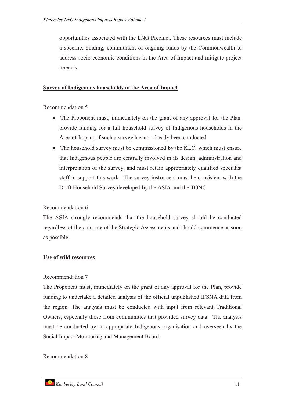opportunities associated with the LNG Precinct. These resources must include a specific, binding, commitment of ongoing funds by the Commonwealth to address socio-economic conditions in the Area of Impact and mitigate project impacts.

#### **Survey of Indigenous households in the Area of Impact**

Recommendation 5

- The Proponent must, immediately on the grant of any approval for the Plan, provide funding for a full household survey of Indigenous households in the Area of Impact, if such a survey has not already been conducted.
- The household survey must be commissioned by the KLC, which must ensure that Indigenous people are centrally involved in its design, administration and interpretation of the survey, and must retain appropriately qualified specialist staff to support this work. The survey instrument must be consistent with the Draft Household Survey developed by the ASIA and the TONC.

# Recommendation 6

The ASIA strongly recommends that the household survey should be conducted regardless of the outcome of the Strategic Assessments and should commence as soon as possible.

# **Use of wild resources**

#### Recommendation 7

The Proponent must, immediately on the grant of any approval for the Plan, provide funding to undertake a detailed analysis of the official unpublished IFSNA data from the region. The analysis must be conducted with input from relevant Traditional Owners, especially those from communities that provided survey data. The analysis must be conducted by an appropriate Indigenous organisation and overseen by the Social Impact Monitoring and Management Board.

#### Recommendation 8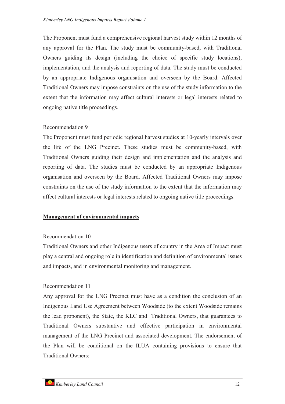The Proponent must fund a comprehensive regional harvest study within 12 months of any approval for the Plan. The study must be community-based, with Traditional Owners guiding its design (including the choice of specific study locations), implementation, and the analysis and reporting of data. The study must be conducted by an appropriate Indigenous organisation and overseen by the Board. Affected Traditional Owners may impose constraints on the use of the study information to the extent that the information may affect cultural interests or legal interests related to ongoing native title proceedings.

#### Recommendation 9

The Proponent must fund periodic regional harvest studies at 10-yearly intervals over the life of the LNG Precinct. These studies must be community-based, with Traditional Owners guiding their design and implementation and the analysis and reporting of data. The studies must be conducted by an appropriate Indigenous organisation and overseen by the Board. Affected Traditional Owners may impose constraints on the use of the study information to the extent that the information may affect cultural interests or legal interests related to ongoing native title proceedings.

# **Management of environmental impacts**

#### Recommendation 10

Traditional Owners and other Indigenous users of country in the Area of Impact must play a central and ongoing role in identification and definition of environmental issues and impacts, and in environmental monitoring and management.

# Recommendation 11

Any approval for the LNG Precinct must have as a condition the conclusion of an Indigenous Land Use Agreement between Woodside (to the extent Woodside remains the lead proponent), the State, the KLC and Traditional Owners, that guarantees to Traditional Owners substantive and effective participation in environmental management of the LNG Precinct and associated development. The endorsement of the Plan will be conditional on the ILUA containing provisions to ensure that Traditional Owners: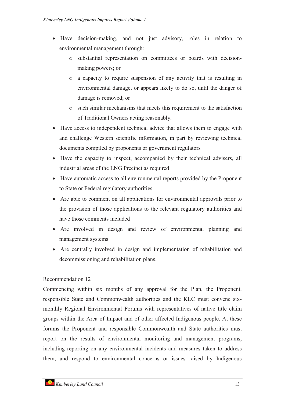- Have decision-making, and not just advisory, roles in relation to environmental management through:
	- o substantial representation on committees or boards with decisionmaking powers; or
	- o a capacity to require suspension of any activity that is resulting in environmental damage, or appears likely to do so, until the danger of damage is removed; or
	- o such similar mechanisms that meets this requirement to the satisfaction of Traditional Owners acting reasonably.
- Have access to independent technical advice that allows them to engage with and challenge Western scientific information, in part by reviewing technical documents compiled by proponents or government regulators
- Have the capacity to inspect, accompanied by their technical advisers, all industrial areas of the LNG Precinct as required
- Have automatic access to all environmental reports provided by the Proponent to State or Federal regulatory authorities
- Are able to comment on all applications for environmental approvals prior to the provision of those applications to the relevant regulatory authorities and have those comments included
- Are involved in design and review of environmental planning and management systems
- Are centrally involved in design and implementation of rehabilitation and decommissioning and rehabilitation plans.

# Recommendation 12

Commencing within six months of any approval for the Plan, the Proponent, responsible State and Commonwealth authorities and the KLC must convene sixmonthly Regional Environmental Forums with representatives of native title claim groups within the Area of Impact and of other affected Indigenous people. At these forums the Proponent and responsible Commonwealth and State authorities must report on the results of environmental monitoring and management programs, including reporting on any environmental incidents and measures taken to address them, and respond to environmental concerns or issues raised by Indigenous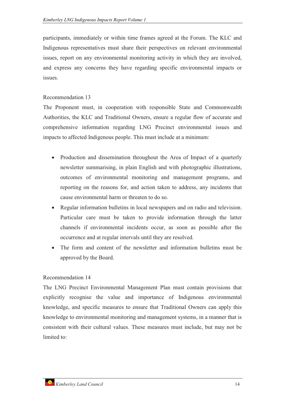participants, immediately or within time frames agreed at the Forum. The KLC and Indigenous representatives must share their perspectives on relevant environmental issues, report on any environmental monitoring activity in which they are involved, and express any concerns they have regarding specific environmental impacts or issues.

#### Recommendation 13

The Proponent must, in cooperation with responsible State and Commonwealth Authorities, the KLC and Traditional Owners, ensure a regular flow of accurate and comprehensive information regarding LNG Precinct environmental issues and impacts to affected Indigenous people. This must include at a minimum:

- Production and dissemination throughout the Area of Impact of a quarterly newsletter summarising, in plain English and with photographic illustrations, outcomes of environmental monitoring and management programs, and reporting on the reasons for, and action taken to address, any incidents that cause environmental harm or threaten to do so.
- $\bullet$  Regular information bulletins in local newspapers and on radio and television. Particular care must be taken to provide information through the latter channels if environmental incidents occur, as soon as possible after the occurrence and at regular intervals until they are resolved.
- - The form and content of the newsletter and information bulletins must be approved by the Board.

# Recommendation 14

The LNG Precinct Environmental Management Plan must contain provisions that explicitly recognise the value and importance of Indigenous environmental knowledge, and specific measures to ensure that Traditional Owners can apply this knowledge to environmental monitoring and management systems, in a manner that is consistent with their cultural values. These measures must include, but may not be limited to: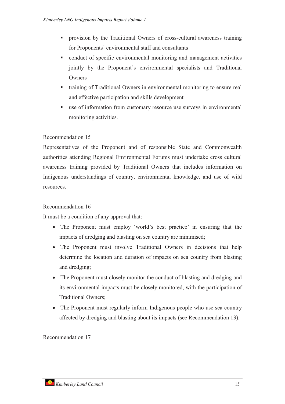- provision by the Traditional Owners of cross-cultural awareness training for Proponents' environmental staff and consultants
- conduct of specific environmental monitoring and management activities jointly by the Proponent's environmental specialists and Traditional **Owners**
- training of Traditional Owners in environmental monitoring to ensure real and effective participation and skills development
- use of information from customary resource use surveys in environmental monitoring activities.

# Recommendation 15

Representatives of the Proponent and of responsible State and Commonwealth authorities attending Regional Environmental Forums must undertake cross cultural awareness training provided by Traditional Owners that includes information on Indigenous understandings of country, environmental knowledge, and use of wild resources.

# Recommendation 16

It must be a condition of any approval that:

- The Proponent must employ 'world's best practice' in ensuring that the impacts of dredging and blasting on sea country are minimised;
- The Proponent must involve Traditional Owners in decisions that help determine the location and duration of impacts on sea country from blasting and dredging;
- The Proponent must closely monitor the conduct of blasting and dredging and its environmental impacts must be closely monitored, with the participation of Traditional Owners;
- The Proponent must regularly inform Indigenous people who use sea country affected by dredging and blasting about its impacts (see Recommendation 13).

Recommendation 17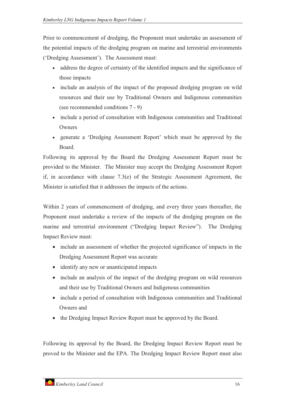Prior to commencement of dredging, the Proponent must undertake an assessment of the potential impacts of the dredging program on marine and terrestrial environments ('Dredging Assessment'). The Assessment must:

- address the degree of certainty of the identified impacts and the significance of those impacts
- include an analysis of the impact of the proposed dredging program on wild resources and their use by Traditional Owners and Indigenous communities (see recommended conditions 7 - 9)
- include a period of consultation with Indigenous communities and Traditional **Owners**
- generate a 'Dredging Assessment Report' which must be approved by the Board.

Following its approval by the Board the Dredging Assessment Report must be provided to the Minister. The Minister may accept the Dredging Assessment Report if, in accordance with clause 7.3(e) of the Strategic Assessment Agreement, the Minister is satisfied that it addresses the impacts of the actions.

Within 2 years of commencement of dredging, and every three years thereafter, the Proponent must undertake a review of the impacts of the dredging program on the marine and terrestrial environment ("Dredging Impact Review"). The Dredging Impact Review must:

- include an assessment of whether the projected significance of impacts in the Dredging Assessment Report was accurate
- identify any new or unanticipated impacts
- include an analysis of the impact of the dredging program on wild resources and their use by Traditional Owners and Indigenous communities
- include a period of consultation with Indigenous communities and Traditional Owners and
- the Dredging Impact Review Report must be approved by the Board.

Following its approval by the Board, the Dredging Impact Review Report must be proved to the Minister and the EPA. The Dredging Impact Review Report must also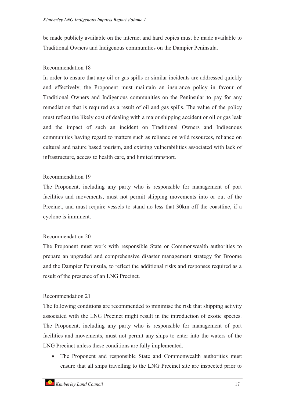be made publicly available on the internet and hard copies must be made available to Traditional Owners and Indigenous communities on the Dampier Peninsula.

# Recommendation 18

In order to ensure that any oil or gas spills or similar incidents are addressed quickly and effectively, the Proponent must maintain an insurance policy in favour of Traditional Owners and Indigenous communities on the Peninsular to pay for any remediation that is required as a result of oil and gas spills. The value of the policy must reflect the likely cost of dealing with a major shipping accident or oil or gas leak and the impact of such an incident on Traditional Owners and Indigenous communities having regard to matters such as reliance on wild resources, reliance on cultural and nature based tourism, and existing vulnerabilities associated with lack of infrastructure, access to health care, and limited transport.

# Recommendation 19

The Proponent, including any party who is responsible for management of port facilities and movements, must not permit shipping movements into or out of the Precinct, and must require vessels to stand no less that 30km off the coastline, if a cyclone is imminent.

# Recommendation 20

The Proponent must work with responsible State or Commonwealth authorities to prepare an upgraded and comprehensive disaster management strategy for Broome and the Dampier Peninsula, to reflect the additional risks and responses required as a result of the presence of an LNG Precinct.

# Recommendation 21

The following conditions are recommended to minimise the risk that shipping activity associated with the LNG Precinct might result in the introduction of exotic species. The Proponent, including any party who is responsible for management of port facilities and movements, must not permit any ships to enter into the waters of the LNG Precinct unless these conditions are fully implemented.

 $\bullet$  The Proponent and responsible State and Commonwealth authorities must ensure that all ships travelling to the LNG Precinct site are inspected prior to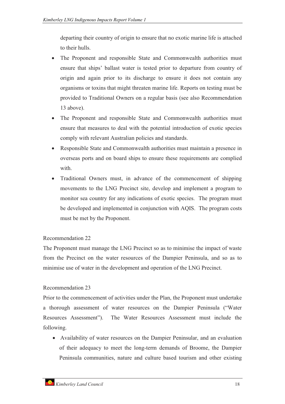departing their country of origin to ensure that no exotic marine life is attached to their hulls.

- $\bullet$  The Proponent and responsible State and Commonwealth authorities must ensure that ships' ballast water is tested prior to departure from country of origin and again prior to its discharge to ensure it does not contain any organisms or toxins that might threaten marine life. Reports on testing must be provided to Traditional Owners on a regular basis (see also Recommendation 13 above).
- The Proponent and responsible State and Commonwealth authorities must ensure that measures to deal with the potential introduction of exotic species comply with relevant Australian policies and standards.
- $\bullet$  Responsible State and Commonwealth authorities must maintain a presence in overseas ports and on board ships to ensure these requirements are complied with.
- - Traditional Owners must, in advance of the commencement of shipping movements to the LNG Precinct site, develop and implement a program to monitor sea country for any indications of exotic species. The program must be developed and implemented in conjunction with AQIS. The program costs must be met by the Proponent.

# Recommendation 22

The Proponent must manage the LNG Precinct so as to minimise the impact of waste from the Precinct on the water resources of the Dampier Peninsula, and so as to minimise use of water in the development and operation of the LNG Precinct.

# Recommendation 23

Prior to the commencement of activities under the Plan, the Proponent must undertake a thorough assessment of water resources on the Dampier Peninsula ("Water Resources Assessment"). The Water Resources Assessment must include the following.

- Availability of water resources on the Dampier Peninsular, and an evaluation of their adequacy to meet the long-term demands of Broome, the Dampier Peninsula communities, nature and culture based tourism and other existing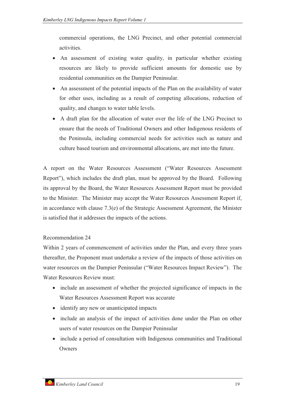commercial operations, the LNG Precinct, and other potential commercial activities.

- An assessment of existing water quality, in particular whether existing resources are likely to provide sufficient amounts for domestic use by residential communities on the Dampier Peninsular.
- An assessment of the potential impacts of the Plan on the availability of water for other uses, including as a result of competing allocations, reduction of quality, and changes to water table levels.
- A draft plan for the allocation of water over the life of the LNG Precinct to ensure that the needs of Traditional Owners and other Indigenous residents of the Peninsula, including commercial needs for activities such as nature and culture based tourism and environmental allocations, are met into the future.

A report on the Water Resources Assessment ("Water Resources Assessment Report"), which includes the draft plan, must be approved by the Board. Following its approval by the Board, the Water Resources Assessment Report must be provided to the Minister. The Minister may accept the Water Resources Assessment Report if, in accordance with clause 7.3(e) of the Strategic Assessment Agreement, the Minister is satisfied that it addresses the impacts of the actions.

# Recommendation 24

Within 2 years of commencement of activities under the Plan, and every three years thereafter, the Proponent must undertake a review of the impacts of those activities on water resources on the Dampier Peninsular ("Water Resources Impact Review"). The Water Resources Review must:

- include an assessment of whether the projected significance of impacts in the Water Resources Assessment Report was accurate
- identify any new or unanticipated impacts
- include an analysis of the impact of activities done under the Plan on other users of water resources on the Dampier Peninsular
- include a period of consultation with Indigenous communities and Traditional **Owners**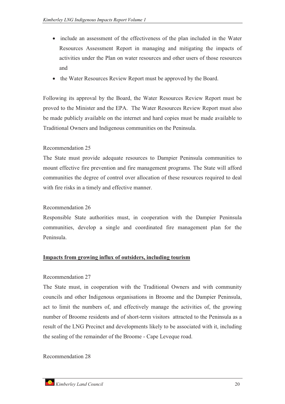- include an assessment of the effectiveness of the plan included in the Water Resources Assessment Report in managing and mitigating the impacts of activities under the Plan on water resources and other users of those resources and
- the Water Resources Review Report must be approved by the Board.

Following its approval by the Board, the Water Resources Review Report must be proved to the Minister and the EPA. The Water Resources Review Report must also be made publicly available on the internet and hard copies must be made available to Traditional Owners and Indigenous communities on the Peninsula.

# Recommendation 25

The State must provide adequate resources to Dampier Peninsula communities to mount effective fire prevention and fire management programs. The State will afford communities the degree of control over allocation of these resources required to deal with fire risks in a timely and effective manner.

# Recommendation 26

Responsible State authorities must, in cooperation with the Dampier Peninsula communities, develop a single and coordinated fire management plan for the Peninsula.

#### **Impacts from growing influx of outsiders, including tourism**

#### Recommendation 27

The State must, in cooperation with the Traditional Owners and with community councils and other Indigenous organisations in Broome and the Dampier Peninsula, act to limit the numbers of, and effectively manage the activities of, the growing number of Broome residents and of short-term visitors attracted to the Peninsula as a result of the LNG Precinct and developments likely to be associated with it, including the sealing of the remainder of the Broome - Cape Leveque road.

#### Recommendation 28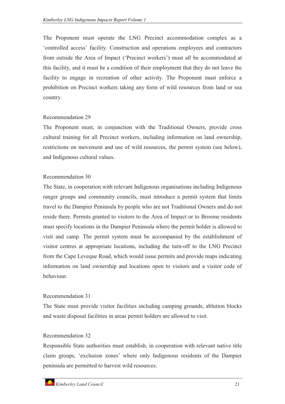The Proponent must operate the LNG Precinct accommodation complex as a 'controlled access' facility. Construction and operations employees and contractors from outside the Area of Impact ('Precinct workers') must all be accommodated at this facility, and it must be a condition of their employment that they do not leave the facility to engage in recreation of other activity. The Proponent must enforce a prohibition on Precinct workers taking any form of wild resources from land or sea country.

#### Recommendation 29

The Proponent must, in conjunction with the Traditional Owners, provide cross cultural training for all Precinct workers, including information on land ownership, restrictions on movement and use of wild resources, the permit system (see below), and Indigenous cultural values.

#### Recommendation 30

The State, in cooperation with relevant Indigenous organisations including Indigenous ranger groups and community councils, must introduce a permit system that limits travel to the Dampier Peninsula by people who are not Traditional Owners and do not reside there. Permits granted to visitors to the Area of Impact or to Broome residents must specify locations in the Dampier Peninsula where the permit holder is allowed to visit and camp. The permit system must be accompanied by the establishment of visitor centres at appropriate locations, including the turn-off to the LNG Precinct from the Cape Leveque Road, which would issue permits and provide maps indicating information on land ownership and locations open to visitors and a visitor code of behaviour.

# Recommendation 31

The State must provide visitor facilities including camping grounds, ablution blocks and waste disposal facilities in areas permit holders are allowed to visit.

# Recommendation 32

Responsible State authorities must establish, in cooperation with relevant native title claim groups, 'exclusion zones' where only Indigenous residents of the Dampier peninsula are permitted to harvest wild resources.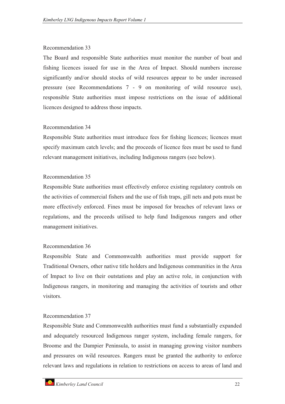#### Recommendation 33

The Board and responsible State authorities must monitor the number of boat and fishing licences issued for use in the Area of Impact. Should numbers increase significantly and/or should stocks of wild resources appear to be under increased pressure (see Recommendations 7 - 9 on monitoring of wild resource use), responsible State authorities must impose restrictions on the issue of additional licences designed to address those impacts.

# Recommendation 34

Responsible State authorities must introduce fees for fishing licences; licences must specify maximum catch levels; and the proceeds of licence fees must be used to fund relevant management initiatives, including Indigenous rangers (see below).

#### Recommendation 35

Responsible State authorities must effectively enforce existing regulatory controls on the activities of commercial fishers and the use of fish traps, gill nets and pots must be more effectively enforced. Fines must be imposed for breaches of relevant laws or regulations, and the proceeds utilised to help fund Indigenous rangers and other management initiatives.

# Recommendation 36

Responsible State and Commonwealth authorities must provide support for Traditional Owners, other native title holders and Indigenous communities in the Area of Impact to live on their outstations and play an active role, in conjunction with Indigenous rangers, in monitoring and managing the activities of tourists and other visitors.

# Recommendation 37

Responsible State and Commonwealth authorities must fund a substantially expanded and adequately resourced Indigenous ranger system, including female rangers, for Broome and the Dampier Peninsula, to assist in managing growing visitor numbers and pressures on wild resources. Rangers must be granted the authority to enforce relevant laws and regulations in relation to restrictions on access to areas of land and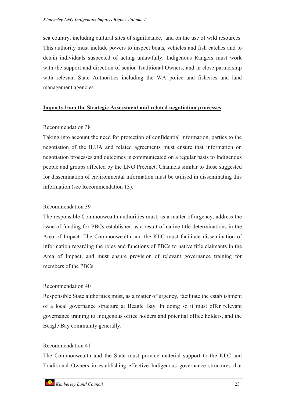sea country, including cultural sites of significance, and on the use of wild resources. This authority must include powers to inspect boats, vehicles and fish catches and to detain individuals suspected of acting unlawfully. Indigenous Rangers must work with the support and direction of senior Traditional Owners, and in close partnership with relevant State Authorities including the WA police and fisheries and land management agencies.

#### **Impacts from the Strategic Assessment and related negotiation processes**

#### Recommendation 38

Taking into account the need for protection of confidential information, parties to the negotiation of the ILUA and related agreements must ensure that information on negotiation processes and outcomes is communicated on a regular basis to Indigenous people and groups affected by the LNG Precinct. Channels similar to those suggested for dissemination of environmental information must be utilised in disseminating this information (see Recommendation 13).

# Recommendation 39

The responsible Commonwealth authorities must, as a matter of urgency, address the issue of funding for PBCs established as a result of native title determinations in the Area of Impact. The Commonwealth and the KLC must facilitate dissemination of information regarding the roles and functions of PBCs to native title claimants in the Area of Impact, and must ensure provision of relevant governance training for members of the PBCs.

# Recommendation 40

Responsible State authorities must, as a matter of urgency, facilitate the establishment of a local governance structure at Beagle Bay. In doing so it must offer relevant governance training to Indigenous office holders and potential office holders, and the Beagle Bay community generally.

# Recommendation 41

The Commonwealth and the State must provide material support to the KLC and Traditional Owners in establishing effective Indigenous governance structures that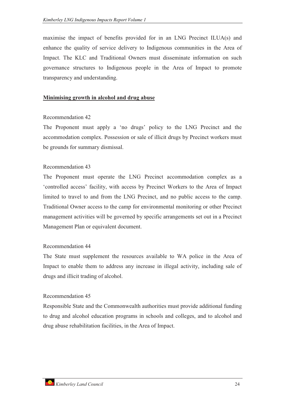maximise the impact of benefits provided for in an LNG Precinct ILUA(s) and enhance the quality of service delivery to Indigenous communities in the Area of Impact. The KLC and Traditional Owners must disseminate information on such governance structures to Indigenous people in the Area of Impact to promote transparency and understanding.

#### **Minimising growth in alcohol and drug abuse**

#### Recommendation 42

The Proponent must apply a 'no drugs' policy to the LNG Precinct and the accommodation complex. Possession or sale of illicit drugs by Precinct workers must be grounds for summary dismissal.

#### Recommendation 43

The Proponent must operate the LNG Precinct accommodation complex as a 'controlled access' facility, with access by Precinct Workers to the Area of Impact limited to travel to and from the LNG Precinct, and no public access to the camp. Traditional Owner access to the camp for environmental monitoring or other Precinct management activities will be governed by specific arrangements set out in a Precinct Management Plan or equivalent document.

#### Recommendation 44

The State must supplement the resources available to WA police in the Area of Impact to enable them to address any increase in illegal activity, including sale of drugs and illicit trading of alcohol.

#### Recommendation 45

Responsible State and the Commonwealth authorities must provide additional funding to drug and alcohol education programs in schools and colleges, and to alcohol and drug abuse rehabilitation facilities, in the Area of Impact.

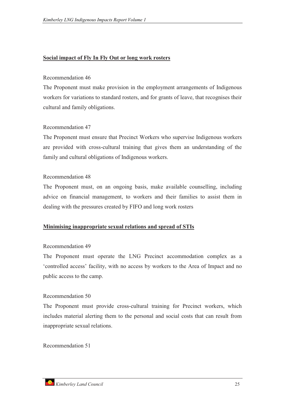#### **Social impact of Fly In Fly Out or long work rosters**

#### Recommendation 46

The Proponent must make provision in the employment arrangements of Indigenous workers for variations to standard rosters, and for grants of leave, that recognises their cultural and family obligations.

#### Recommendation 47

The Proponent must ensure that Precinct Workers who supervise Indigenous workers are provided with cross-cultural training that gives them an understanding of the family and cultural obligations of Indigenous workers.

#### Recommendation 48

The Proponent must, on an ongoing basis, make available counselling, including advice on financial management, to workers and their families to assist them in dealing with the pressures created by FIFO and long work rosters

#### **Minimising inappropriate sexual relations and spread of STIs**

#### Recommendation 49

The Proponent must operate the LNG Precinct accommodation complex as a 'controlled access' facility, with no access by workers to the Area of Impact and no public access to the camp.

#### Recommendation 50

The Proponent must provide cross-cultural training for Precinct workers, which includes material alerting them to the personal and social costs that can result from inappropriate sexual relations.

Recommendation 51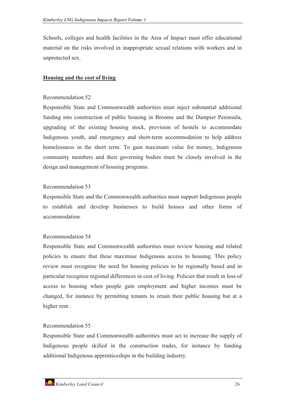Schools, colleges and health facilities in the Area of Impact must offer educational material on the risks involved in inappropriate sexual relations with workers and in unprotected sex.

#### **Housing and the cost of living**

#### Recommendation 52

Responsible State and Commonwealth authorities must inject substantial additional funding into construction of public housing in Broome and the Dampier Peninsula, upgrading of the existing housing stock, provision of hostels to accommodate Indigenous youth, and emergency and short-term accommodation to help address homelessness in the short term. To gain maximum value for money, Indigenous community members and their governing bodies must be closely involved in the design and management of housing programs.

#### Recommendation 53

Responsible State and the Commonwealth authorities must support Indigenous people to establish and develop businesses to build houses and other forms of accommodation.

# Recommendation 54

Responsible State and Commonwealth authorities must review housing and related policies to ensure that these maximise Indigenous access to housing. This policy review must recognise the need for housing policies to be regionally based and in particular recognise regional differences in cost of living. Policies that result in loss of access to housing when people gain employment and higher incomes must be changed, for instance by permitting tenants to retain their public housing but at a higher rent.

# Recommendation 55

Responsible State and Commonwealth authorities must act to increase the supply of Indigenous people skilled in the construction trades, for instance by funding additional Indigenous apprenticeships in the building industry.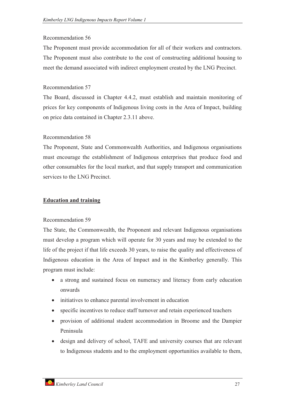#### Recommendation 56

The Proponent must provide accommodation for all of their workers and contractors. The Proponent must also contribute to the cost of constructing additional housing to meet the demand associated with indirect employment created by the LNG Precinct.

#### Recommendation 57

The Board, discussed in Chapter 4.4.2, must establish and maintain monitoring of prices for key components of Indigenous living costs in the Area of Impact, building on price data contained in Chapter 2.3.11 above.

# Recommendation 58

The Proponent, State and Commonwealth Authorities, and Indigenous organisations must encourage the establishment of Indigenous enterprises that produce food and other consumables for the local market, and that supply transport and communication services to the LNG Precinct.

# **Education and training**

#### Recommendation 59

The State, the Commonwealth, the Proponent and relevant Indigenous organisations must develop a program which will operate for 30 years and may be extended to the life of the project if that life exceeds 30 years, to raise the quality and effectiveness of Indigenous education in the Area of Impact and in the Kimberley generally. This program must include:

- a strong and sustained focus on numeracy and literacy from early education onwards
- initiatives to enhance parental involvement in education
- specific incentives to reduce staff turnover and retain experienced teachers
- $\bullet$  provision of additional student accommodation in Broome and the Dampier Peninsula
- $\bullet$  design and delivery of school, TAFE and university courses that are relevant to Indigenous students and to the employment opportunities available to them,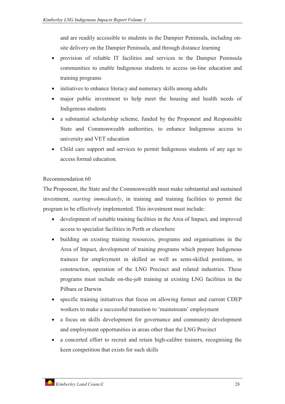and are readily accessible to students in the Dampier Peninsula, including onsite delivery on the Dampier Peninsula, and through distance learning

- $\bullet$  provision of reliable IT facilities and services in the Dampier Peninsula communities to enable Indigenous students to access on-line education and training programs
- initiatives to enhance literacy and numeracy skills among adults
- $\bullet$  major public investment to help meet the housing and health needs of Indigenous students
- a substantial scholarship scheme, funded by the Proponent and Responsible State and Commonwealth authorities, to enhance Indigenous access to university and VET education
- - Child care support and services to permit Indigenous students of any age to access formal education.

# Recommendation 60

The Proponent, the State and the Commonwealth must make substantial and sustained investment, *starting immediately*, in training and training facilities to permit the program to be effectively implemented. This investment must include:

- $\bullet$  development of suitable training facilities in the Area of Impact, and improved access to specialist facilities in Perth or elsewhere
- $\bullet$  building on existing training resources, programs and organisations in the Area of Impact, development of training programs which prepare Indigenous trainees for employment in skilled as well as semi-skilled positions, in construction, operation of the LNG Precinct and related industries. These programs must include on-the-job training at existing LNG facilities in the Pilbara or Darwin
- $\bullet$  specific training initiatives that focus on allowing former and current CDEP workers to make a successful transition to 'mainstream' employment
- $\bullet$  a focus on skills development for governance and community development and employment opportunities in areas other than the LNG Precinct
- a concerted effort to recruit and retain high-calibre trainers, recognising the keen competition that exists for such skills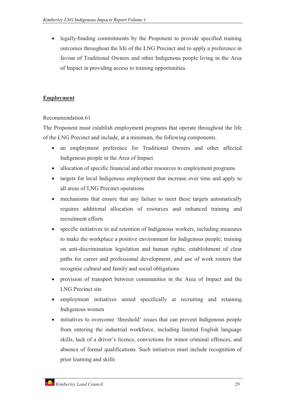legally-binding commitments by the Proponent to provide specified training outcomes throughout the life of the LNG Precinct and to apply a preference in favour of Traditional Owners and other Indigenous people living in the Area of Impact in providing access to training opportunities.

# **Employment**

# Recommendation 61

The Proponent must establish employment programs that operate throughout the life of the LNG Precinct and include, at a minimum, the following components.

- an employment preference for Traditional Owners and other affected Indigenous people in the Area of Impact
- $\bullet$ allocation of specific financial and other resources to employment programs
- $\bullet$  targets for local Indigenous employment that increase over time and apply to all areas of LNG Precinct operations
- mechanisms that ensure that any failure to meet these targets automatically requires additional allocation of resources and enhanced training and recruitment efforts
- $\bullet$  specific initiatives to aid retention of Indigenous workers, including measures to make the workplace a positive environment for Indigenous people; training on anti-discrimination legislation and human rights; establishment of clear paths for career and professional development; and use of work rosters that recognise cultural and family and social obligations
- provision of transport between communities in the Area of Impact and the LNG Precinct site
- $\bullet$  employment initiatives aimed specifically at recruiting and retaining Indigenous women
- $\bullet$  initiatives to overcome 'threshold' issues that can prevent Indigenous people from entering the industrial workforce, including limited English language skills, lack of a driver's licence, convictions for minor criminal offences, and absence of formal qualifications. Such initiatives must include recognition of prior learning and skills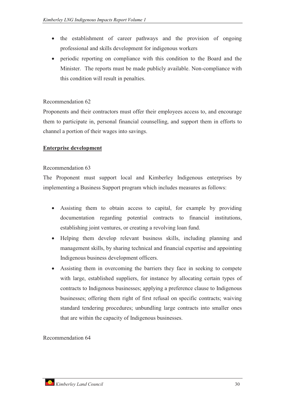- the establishment of career pathways and the provision of ongoing professional and skills development for indigenous workers
- periodic reporting on compliance with this condition to the Board and the Minister. The reports must be made publicly available. Non-compliance with this condition will result in penalties.

# Recommendation 62

Proponents and their contractors must offer their employees access to, and encourage them to participate in, personal financial counselling, and support them in efforts to channel a portion of their wages into savings.

# **Enterprise development**

# Recommendation 63

The Proponent must support local and Kimberley Indigenous enterprises by implementing a Business Support program which includes measures as follows:

- - Assisting them to obtain access to capital, for example by providing documentation regarding potential contracts to financial institutions, establishing joint ventures, or creating a revolving loan fund.
- - Helping them develop relevant business skills, including planning and management skills, by sharing technical and financial expertise and appointing Indigenous business development officers.
- - Assisting them in overcoming the barriers they face in seeking to compete with large, established suppliers, for instance by allocating certain types of contracts to Indigenous businesses; applying a preference clause to Indigenous businesses; offering them right of first refusal on specific contracts; waiving standard tendering procedures; unbundling large contracts into smaller ones that are within the capacity of Indigenous businesses.

Recommendation 64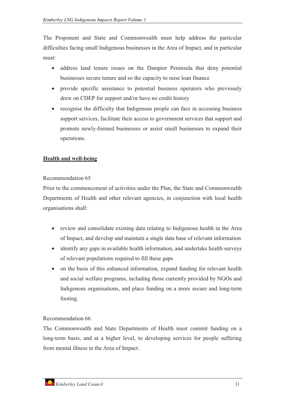The Proponent and State and Commonwealth must help address the particular difficulties facing small Indigenous businesses in the Area of Impact, and in particular must:

- address land tenure issues on the Dampier Peninsula that deny potential businesses secure tenure and so the capacity to raise loan finance
- $\bullet$  provide specific assistance to potential business operators who previously drew on CDEP for support and/or have no credit history
- recognise the difficulty that Indigenous people can face in accessing business support services, facilitate their access to government services that support and promote newly-formed businesses or assist small businesses to expand their operations.

# **Health and well-being**

# Recommendation 65

Prior to the commencement of activities under the Plan, the State and Commonwealth Departments of Health and other relevant agencies, in conjunction with local health organisations shall:

- review and consolidate existing data relating to Indigenous health in the Area of Impact, and develop and maintain a single data base of relevant information
- identify any gaps in available health information, and undertake health surveys of relevant populations required to fill these gaps
- $\bullet$  on the basis of this enhanced information, expand funding for relevant health and social welfare programs, including those currently provided by NGOs and Indigenous organisations, and place funding on a more secure and long-term footing.

# Recommendation 66

The Commonwealth and State Departments of Health must commit funding on a long-term basis, and at a higher level, to developing services for people suffering from mental illness in the Area of Impact.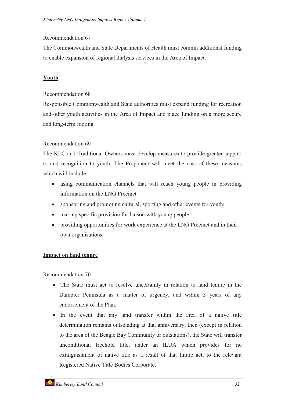#### Recommendation 67

The Commonwealth and State Departments of Health must commit additional funding to enable expansion of regional dialysis services in the Area of Impact.

# **Youth**

#### Recommendation 68

Responsible Commonwealth and State authorities must expand funding for recreation and other youth activities in the Area of Impact and place funding on a more secure and long-term footing.

# Recommendation 69

The KLC and Traditional Owners must develop measures to provide greater support to and recognition to youth. The Proponent will meet the cost of these measures which will include:

- $\bullet$  using communication channels that will reach young people in providing information on the LNG Precinct
- sponsoring and promoting cultural, sporting and other events for youth;
- $\bullet$ making specific provision for liaison with young people
- $\bullet$  providing opportunities for work experience at the LNG Precinct and in their own organisations.

# **Impact on land tenure**

Recommendation 70

- The State must act to resolve uncertainty in relation to land tenure in the Dampier Peninsula as a matter of urgency, and within 3 years of any endorsement of the Plan.
- In the event that any land transfer within the area of a native title determination remains outstanding at that anniversary, then (except in relation to the area of the Beagle Bay Community or outstations), the State will transfer unconditional freehold title, under an ILUA which provides for no extinguishment of native title as a result of that future act, to the relevant Registered Native Title Bodies Corporate.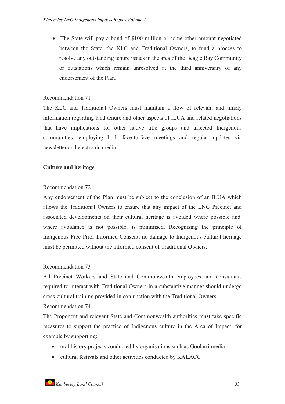- The State will pay a bond of \$100 million or some other amount negotiated between the State, the KLC and Traditional Owners, to fund a process to resolve any outstanding tenure issues in the area of the Beagle Bay Community or outstations which remain unresolved at the third anniversary of any endorsement of the Plan.

#### Recommendation 71

The KLC and Traditional Owners must maintain a flow of relevant and timely information regarding land tenure and other aspects of ILUA and related negotiations that have implications for other native title groups and affected Indigenous communities, employing both face-to-face meetings and regular updates via newsletter and electronic media.

#### **Culture and heritage**

#### Recommendation 72

Any endorsement of the Plan must be subject to the conclusion of an ILUA which allows the Traditional Owners to ensure that any impact of the LNG Precinct and associated developments on their cultural heritage is avoided where possible and, where avoidance is not possible, is minimised. Recognising the principle of Indigenous Free Prior Informed Consent, no damage to Indigenous cultural heritage must be permitted without the informed consent of Traditional Owners.

#### Recommendation 73

All Precinct Workers and State and Commonwealth employees and consultants required to interact with Traditional Owners in a substantive manner should undergo cross-cultural training provided in conjunction with the Traditional Owners.

# Recommendation 74

The Proponent and relevant State and Commonwealth authorities must take specific measures to support the practice of Indigenous culture in the Area of Impact, for example by supporting:

- oral history projects conducted by organisations such as Goolarri media
- cultural festivals and other activities conducted by KALACC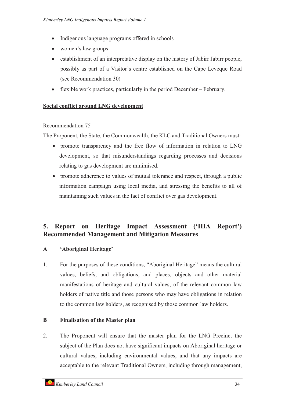- $\bullet$ Indigenous language programs offered in schools
- women's law groups
- $\bullet$  establishment of an interpretative display on the history of Jabirr Jabirr people, possibly as part of a Visitor's centre established on the Cape Leveque Road (see Recommendation 30)
- $$ flexible work practices, particularly in the period December – February.

# **Social conflict around LNG development**

# Recommendation 75

The Proponent, the State, the Commonwealth, the KLC and Traditional Owners must:

- promote transparency and the free flow of information in relation to LNG development, so that misunderstandings regarding processes and decisions relating to gas development are minimised.
- $\bullet$  promote adherence to values of mutual tolerance and respect, through a public information campaign using local media, and stressing the benefits to all of maintaining such values in the fact of conflict over gas development.

# **5. Report on Heritage Impact Assessment ('HIA Report') Recommended Management and Mitigation Measures**

# **A 'Aboriginal Heritage'**

1. For the purposes of these conditions, "Aboriginal Heritage" means the cultural values, beliefs, and obligations, and places, objects and other material manifestations of heritage and cultural values, of the relevant common law holders of native title and those persons who may have obligations in relation to the common law holders, as recognised by those common law holders.

# **B Finalisation of the Master plan**

2. The Proponent will ensure that the master plan for the LNG Precinct the subject of the Plan does not have significant impacts on Aboriginal heritage or cultural values, including environmental values, and that any impacts are acceptable to the relevant Traditional Owners, including through management,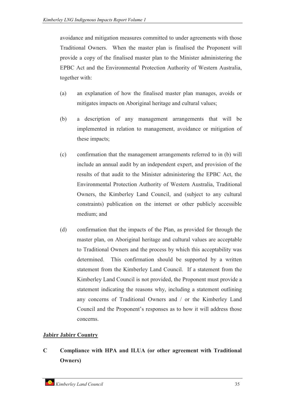avoidance and mitigation measures committed to under agreements with those Traditional Owners. When the master plan is finalised the Proponent will provide a copy of the finalised master plan to the Minister administering the EPBC Act and the Environmental Protection Authority of Western Australia, together with:

- (a) an explanation of how the finalised master plan manages, avoids or mitigates impacts on Aboriginal heritage and cultural values;
- (b) a description of any management arrangements that will be implemented in relation to management, avoidance or mitigation of these impacts;
- (c) confirmation that the management arrangements referred to in (b) will include an annual audit by an independent expert, and provision of the results of that audit to the Minister administering the EPBC Act, the Environmental Protection Authority of Western Australia, Traditional Owners, the Kimberley Land Council, and (subject to any cultural constraints) publication on the internet or other publicly accessible medium; and
- (d) confirmation that the impacts of the Plan, as provided for through the master plan, on Aboriginal heritage and cultural values are acceptable to Traditional Owners and the process by which this acceptability was determined. This confirmation should be supported by a written statement from the Kimberley Land Council. If a statement from the Kimberley Land Council is not provided, the Proponent must provide a statement indicating the reasons why, including a statement outlining any concerns of Traditional Owners and / or the Kimberley Land Council and the Proponent's responses as to how it will address those concerns.

# **Jabirr Jabirr Country**

**C Compliance with HPA and ILUA (or other agreement with Traditional Owners)**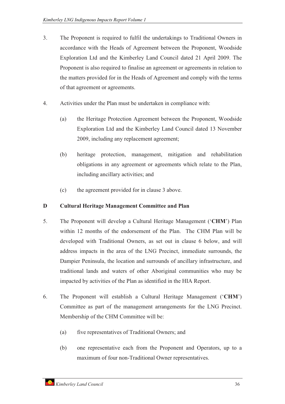- 3. The Proponent is required to fulfil the undertakings to Traditional Owners in accordance with the Heads of Agreement between the Proponent, Woodside Exploration Ltd and the Kimberley Land Council dated 21 April 2009. The Proponent is also required to finalise an agreement or agreements in relation to the matters provided for in the Heads of Agreement and comply with the terms of that agreement or agreements.
- 4. Activities under the Plan must be undertaken in compliance with:
	- (a) the Heritage Protection Agreement between the Proponent, Woodside Exploration Ltd and the Kimberley Land Council dated 13 November 2009, including any replacement agreement;
	- (b) heritage protection, management, mitigation and rehabilitation obligations in any agreement or agreements which relate to the Plan, including ancillary activities; and
	- (c) the agreement provided for in clause 3 above.

# **D Cultural Heritage Management Committee and Plan**

- 5. The Proponent will develop a Cultural Heritage Management ('**CHM**') Plan within 12 months of the endorsement of the Plan. The CHM Plan will be developed with Traditional Owners, as set out in clause 6 below, and will address impacts in the area of the LNG Precinct, immediate surrounds, the Dampier Peninsula, the location and surrounds of ancillary infrastructure, and traditional lands and waters of other Aboriginal communities who may be impacted by activities of the Plan as identified in the HIA Report.
- 6. The Proponent will establish a Cultural Heritage Management ('**CHM**') Committee as part of the management arrangements for the LNG Precinct. Membership of the CHM Committee will be:
	- (a) five representatives of Traditional Owners; and
	- (b) one representative each from the Proponent and Operators, up to a maximum of four non-Traditional Owner representatives.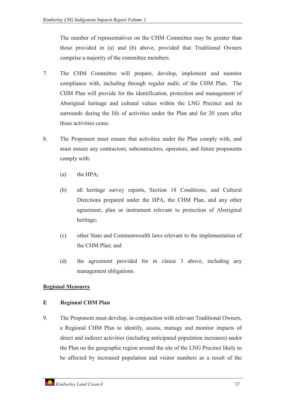The number of representatives on the CHM Committee may be greater than those provided in (a) and (b) above, provided that Traditional Owners comprise a majority of the committee members.

- 7. The CHM Committee will prepare, develop, implement and monitor compliance with, including through regular audit, of the CHM Plan. The CHM Plan will provide for the identification, protection and management of Aboriginal heritage and cultural values within the LNG Precinct and its surrounds during the life of activities under the Plan and for 20 years after those activities cease.
- 8. The Proponent must ensure that activities under the Plan comply with, and must ensure any contractors, subcontractors, operators, and future proponents comply with:
	- (a) the HPA;
	- (b) all heritage survey reports, Section 18 Conditions, and Cultural Directions prepared under the HPA, the CHM Plan, and any other agreement, plan or instrument relevant to protection of Aboriginal heritage;
	- (c) other State and Commonwealth laws relevant to the implementation of the CHM Plan; and
	- (d) the agreement provided for in clause 3 above, including any management obligations.

# **Regional Measures**

# **E Regional CHM Plan**

9. The Proponent must develop, in conjunction with relevant Traditional Owners, a Regional CHM Plan to identify, assess, manage and monitor impacts of direct and indirect activities (including anticipated population increases) under the Plan on the geographic region around the site of the LNG Precinct likely to be affected by increased population and visitor numbers as a result of the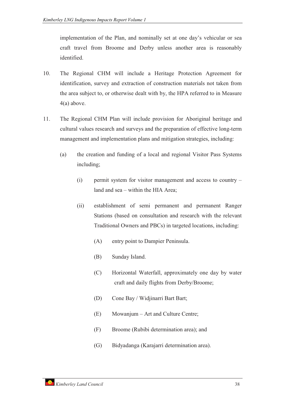implementation of the Plan, and nominally set at one day's vehicular or sea craft travel from Broome and Derby unless another area is reasonably identified.

- 10. The Regional CHM will include a Heritage Protection Agreement for identification, survey and extraction of construction materials not taken from the area subject to, or otherwise dealt with by, the HPA referred to in Measure 4(a) above.
- 11. The Regional CHM Plan will include provision for Aboriginal heritage and cultural values research and surveys and the preparation of effective long-term management and implementation plans and mitigation strategies, including:
	- (a) the creation and funding of a local and regional Visitor Pass Systems including;
		- (i) permit system for visitor management and access to country land and sea – within the HIA Area;
		- (ii) establishment of semi permanent and permanent Ranger Stations (based on consultation and research with the relevant Traditional Owners and PBCs) in targeted locations, including:
			- (A) entry point to Dampier Peninsula.
			- (B) Sunday Island.
			- (C) Horizontal Waterfall, approximately one day by water craft and daily flights from Derby/Broome;
			- (D) Cone Bay / Widjinarri Bart Bart;
			- (E) Mowanjum Art and Culture Centre;
			- (F) Broome (Rubibi determination area); and
			- (G) Bidyadanga (Karajarri determination area).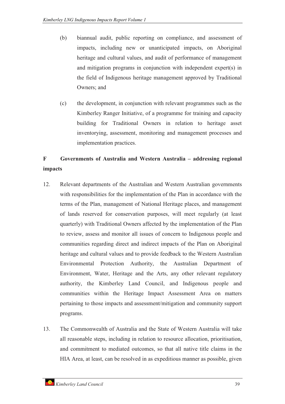- (b) biannual audit, public reporting on compliance, and assessment of impacts, including new or unanticipated impacts, on Aboriginal heritage and cultural values, and audit of performance of management and mitigation programs in conjunction with independent expert(s) in the field of Indigenous heritage management approved by Traditional Owners; and
- (c) the development, in conjunction with relevant programmes such as the Kimberley Ranger Initiative, of a programme for training and capacity building for Traditional Owners in relation to heritage asset inventorying, assessment, monitoring and management processes and implementation practices.

# **F Governments of Australia and Western Australia – addressing regional impacts**

- 12. Relevant departments of the Australian and Western Australian governments with responsibilities for the implementation of the Plan in accordance with the terms of the Plan, management of National Heritage places, and management of lands reserved for conservation purposes, will meet regularly (at least quarterly) with Traditional Owners affected by the implementation of the Plan to review, assess and monitor all issues of concern to Indigenous people and communities regarding direct and indirect impacts of the Plan on Aboriginal heritage and cultural values and to provide feedback to the Western Australian Environmental Protection Authority, the Australian Department of Environment, Water, Heritage and the Arts, any other relevant regulatory authority, the Kimberley Land Council, and Indigenous people and communities within the Heritage Impact Assessment Area on matters pertaining to those impacts and assessment/mitigation and community support programs.
- 13. The Commonwealth of Australia and the State of Western Australia will take all reasonable steps, including in relation to resource allocation, prioritisation, and commitment to mediated outcomes, so that all native title claims in the HIA Area, at least, can be resolved in as expeditious manner as possible, given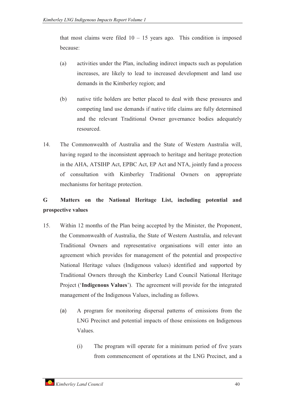that most claims were filed  $10 - 15$  years ago. This condition is imposed because:

- (a) activities under the Plan, including indirect impacts such as population increases, are likely to lead to increased development and land use demands in the Kimberley region; and
- (b) native title holders are better placed to deal with these pressures and competing land use demands if native title claims are fully determined and the relevant Traditional Owner governance bodies adequately resourced.
- 14. The Commonwealth of Australia and the State of Western Australia will, having regard to the inconsistent approach to heritage and heritage protection in the AHA, ATSIHP Act, EPBC Act, EP Act and NTA, jointly fund a process of consultation with Kimberley Traditional Owners on appropriate mechanisms for heritage protection.

# **G Matters on the National Heritage List, including potential and prospective values**

- 15. Within 12 months of the Plan being accepted by the Minister, the Proponent, the Commonwealth of Australia, the State of Western Australia, and relevant Traditional Owners and representative organisations will enter into an agreement which provides for management of the potential and prospective National Heritage values (Indigenous values) identified and supported by Traditional Owners through the Kimberley Land Council National Heritage Project ('**Indigenous Values**'). The agreement will provide for the integrated management of the Indigenous Values, including as follows.
	- (a) A program for monitoring dispersal patterns of emissions from the LNG Precinct and potential impacts of those emissions on Indigenous Values.
		- (i) The program will operate for a minimum period of five years from commencement of operations at the LNG Precinct, and a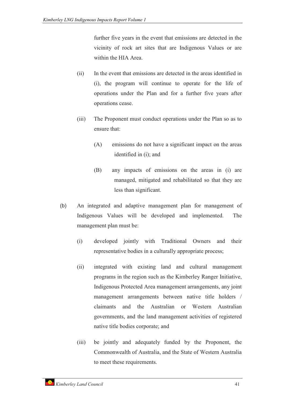further five years in the event that emissions are detected in the vicinity of rock art sites that are Indigenous Values or are within the HIA Area.

- (ii) In the event that emissions are detected in the areas identified in (i), the program will continue to operate for the life of operations under the Plan and for a further five years after operations cease.
- (iii) The Proponent must conduct operations under the Plan so as to ensure that:
	- (A) emissions do not have a significant impact on the areas identified in (i); and
	- (B) any impacts of emissions on the areas in (i) are managed, mitigated and rehabilitated so that they are less than significant.
- (b) An integrated and adaptive management plan for management of Indigenous Values will be developed and implemented. The management plan must be:
	- (i) developed jointly with Traditional Owners and their representative bodies in a culturally appropriate process;
	- (ii) integrated with existing land and cultural management programs in the region such as the Kimberley Ranger Initiative, Indigenous Protected Area management arrangements, any joint management arrangements between native title holders / claimants and the Australian or Western Australian governments, and the land management activities of registered native title bodies corporate; and
	- (iii) be jointly and adequately funded by the Proponent, the Commonwealth of Australia, and the State of Western Australia to meet these requirements.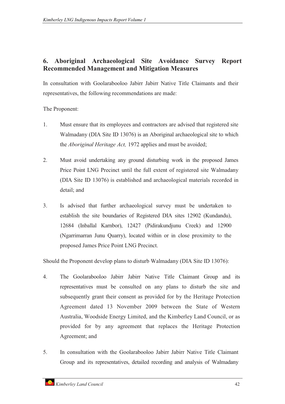# **6. Aboriginal Archaeological Site Avoidance Survey Report Recommended Management and Mitigation Measures**

In consultation with Goolarabooloo Jabirr Jabirr Native Title Claimants and their representatives, the following recommendations are made:

The Proponent:

- 1. Must ensure that its employees and contractors are advised that registered site Walmadany (DIA Site ID 13076) is an Aboriginal archaeological site to which the *Aboriginal Heritage Act,* 1972 applies and must be avoided;
- 2. Must avoid undertaking any ground disturbing work in the proposed James Price Point LNG Precinct until the full extent of registered site Walmadany (DIA Site ID 13076) is established and archaeological materials recorded in detail; and
- 3. Is advised that further archaeological survey must be undertaken to establish the site boundaries of Registered DIA sites 12902 (Kundandu), 12684 (Inballal Karnbor), 12427 (Pidirakundjunu Creek) and 12900 (Ngarrimarran Junu Quarry), located within or in close proximity to the proposed James Price Point LNG Precinct.

Should the Proponent develop plans to disturb Walmadany (DIA Site ID 13076):

- 4. The Goolarabooloo Jabirr Jabirr Native Title Claimant Group and its representatives must be consulted on any plans to disturb the site and subsequently grant their consent as provided for by the Heritage Protection Agreement dated 13 November 2009 between the State of Western Australia, Woodside Energy Limited, and the Kimberley Land Council, or as provided for by any agreement that replaces the Heritage Protection Agreement; and
- 5. In consultation with the Goolarabooloo Jabirr Jabirr Native Title Claimant Group and its representatives, detailed recording and analysis of Walmadany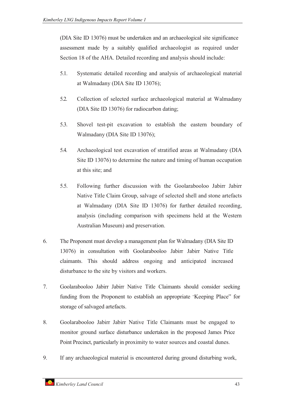(DIA Site ID 13076) must be undertaken and an archaeological site significance assessment made by a suitably qualified archaeologist as required under Section 18 of the AHA. Detailed recording and analysis should include:

- 5.1. Systematic detailed recording and analysis of archaeological material at Walmadany (DIA Site ID 13076);
- 5.2. Collection of selected surface archaeological material at Walmadany (DIA Site ID 13076) for radiocarbon dating;
- 5.3. Shovel test-pit excavation to establish the eastern boundary of Walmadany (DIA Site ID 13076);
- 5.4. Archaeological test excavation of stratified areas at Walmadany (DIA Site ID 13076) to determine the nature and timing of human occupation at this site; and
- 5.5. Following further discussion with the Goolarabooloo Jabirr Jabirr Native Title Claim Group, salvage of selected shell and stone artefacts at Walmadany (DIA Site ID 13076) for further detailed recording, analysis (including comparison with specimens held at the Western Australian Museum) and preservation.
- 6. The Proponent must develop a management plan for Walmadany (DIA Site ID 13076) in consultation with Goolarabooloo Jabirr Jabirr Native Title claimants. This should address ongoing and anticipated increased disturbance to the site by visitors and workers.
- 7. Goolarabooloo Jabirr Jabirr Native Title Claimants should consider seeking funding from the Proponent to establish an appropriate "Keeping Place" for storage of salvaged artefacts.
- 8. Goolarabooloo Jabirr Jabirr Native Title Claimants must be engaged to monitor ground surface disturbance undertaken in the proposed James Price Point Precinct, particularly in proximity to water sources and coastal dunes.
- 9. If any archaeological material is encountered during ground disturbing work,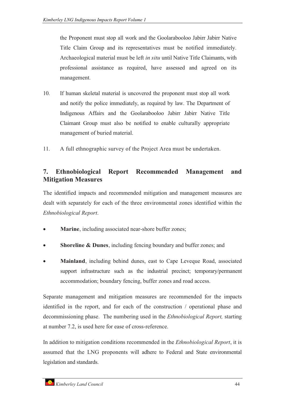the Proponent must stop all work and the Goolarabooloo Jabirr Jabirr Native Title Claim Group and its representatives must be notified immediately. Archaeological material must be left *in situ* until Native Title Claimants, with professional assistance as required, have assessed and agreed on its management.

- 10. If human skeletal material is uncovered the proponent must stop all work and notify the police immediately, as required by law. The Department of Indigenous Affairs and the Goolarabooloo Jabirr Jabirr Native Title Claimant Group must also be notified to enable culturally appropriate management of buried material.
- 11. A full ethnographic survey of the Project Area must be undertaken.

# **7. Ethnobiological Report Recommended Management and Mitigation Measures**

The identified impacts and recommended mitigation and management measures are dealt with separately for each of the three environmental zones identified within the *Ethnobiological Report*.

- $\bullet$ **Marine**, including associated near-shore buffer zones;
- -**Shoreline & Dunes**, including fencing boundary and buffer zones; and
- - **Mainland**, including behind dunes, east to Cape Leveque Road, associated support infrastructure such as the industrial precinct; temporary/permanent accommodation; boundary fencing, buffer zones and road access.

Separate management and mitigation measures are recommended for the impacts identified in the report, and for each of the construction / operational phase and decommissioning phase. The numbering used in the *Ethnobiological Report,* starting at number 7.2, is used here for ease of cross-reference.

In addition to mitigation conditions recommended in the *Ethnobiological Report*, it is assumed that the LNG proponents will adhere to Federal and State environmental legislation and standards.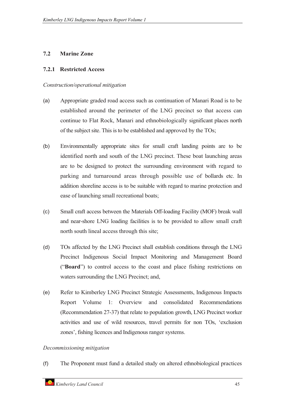# **7.2 Marine Zone**

#### **7.2.1 Restricted Access**

#### *Construction/operational mitigation*

- (a) Appropriate graded road access such as continuation of Manari Road is to be established around the perimeter of the LNG precinct so that access can continue to Flat Rock, Manari and ethnobiologically significant places north of the subject site. This is to be established and approved by the TOs;
- (b) Environmentally appropriate sites for small craft landing points are to be identified north and south of the LNG precinct. These boat launching areas are to be designed to protect the surrounding environment with regard to parking and turnaround areas through possible use of bollards etc. In addition shoreline access is to be suitable with regard to marine protection and ease of launching small recreational boats;
- (c) Small craft access between the Materials Off-loading Facility (MOF) break wall and near-shore LNG loading facilities is to be provided to allow small craft north south lineal access through this site;
- (d) TOs affected by the LNG Precinct shall establish conditions through the LNG Precinct Indigenous Social Impact Monitoring and Management Board ("**Board**") to control access to the coast and place fishing restrictions on waters surrounding the LNG Precinct; and,
- (e) Refer to Kimberley LNG Precinct Strategic Assessments, Indigenous Impacts Report Volume 1: Overview and consolidated Recommendations (Recommendation 27-37) that relate to population growth, LNG Precinct worker activities and use of wild resources, travel permits for non TOs, 'exclusion zones', fishing licences and Indigenous ranger systems.

#### *Decommissioning mitigation*

(f) The Proponent must fund a detailed study on altered ethnobiological practices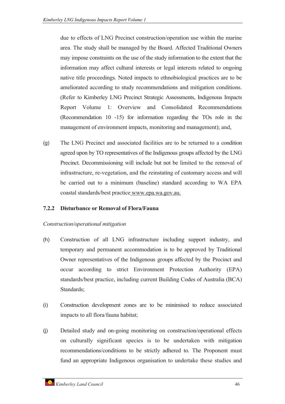due to effects of LNG Precinct construction/operation use within the marine area. The study shall be managed by the Board. Affected Traditional Owners may impose constraints on the use of the study information to the extent that the information may affect cultural interests or legal interests related to ongoing native title proceedings. Noted impacts to ethnobiological practices are to be ameliorated according to study recommendations and mitigation conditions. (Refer to Kimberley LNG Precinct Strategic Assessments, Indigenous Impacts Report Volume 1: Overview and Consolidated Recommendations (Recommendation 10 -15) for information regarding the TOs role in the management of environment impacts, monitoring and management); and,

(g) The LNG Precinct and associated facilities are to be returned to a condition agreed upon by TO representatives of the Indigenous groups affected by the LNG Precinct. Decommissioning will include but not be limited to the removal of infrastructure, re-vegetation, and the reinstating of customary access and will be carried out to a minimum (baseline) standard according to WA EPA coastal standards/best practice www.epa.wa.gov.au.

#### **7.2.2 Disturbance or Removal of Flora/Fauna**

- (h) Construction of all LNG infrastructure including support industry, and temporary and permanent accommodation is to be approved by Traditional Owner representatives of the Indigenous groups affected by the Precinct and occur according to strict Environment Protection Authority (EPA) standards/best practice, including current Building Codes of Australia (BCA) Standards;
- (i) Construction development zones are to be minimised to reduce associated impacts to all flora/fauna habitat;
- (j) Detailed study and on-going monitoring on construction/operational effects on culturally significant species is to be undertaken with mitigation recommendations/conditions to be strictly adhered to. The Proponent must fund an appropriate Indigenous organisation to undertake these studies and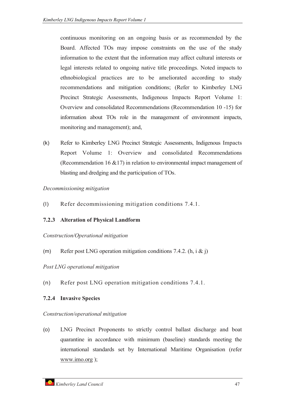continuous monitoring on an ongoing basis or as recommended by the Board. Affected TOs may impose constraints on the use of the study information to the extent that the information may affect cultural interests or legal interests related to ongoing native title proceedings. Noted impacts to ethnobiological practices are to be ameliorated according to study recommendations and mitigation conditions; (Refer to Kimberley LNG Precinct Strategic Assessments, Indigenous Impacts Report Volume 1: Overview and consolidated Recommendations (Recommendation 10 -15) for information about TOs role in the management of environment impacts, monitoring and management); and,

(k) Refer to Kimberley LNG Precinct Strategic Assessments, Indigenous Impacts Report Volume 1: Overview and consolidated Recommendations (Recommendation 16 &17) in relation to environmental impact management of blasting and dredging and the participation of TOs.

*Decommissioning mitigation*

(l) Refer decommissioning mitigation conditions 7.4.1.

# **7.2.3 Alteration of Physical Landform**

*Construction/Operational mitigation*

(m) Refer post LNG operation mitigation conditions 7.4.2.  $(h, i \& j)$ 

*Post LNG operational mitigation*

(n) Refer post LNG operation mitigation conditions 7.4.1.

# **7.2.4 Invasive Species**

*Construction/operational mitigation*

(o) LNG Precinct Proponents to strictly control ballast discharge and boat quarantine in accordance with minimum (baseline) standards meeting the international standards set by International Maritime Organisation (refer www.imo.org );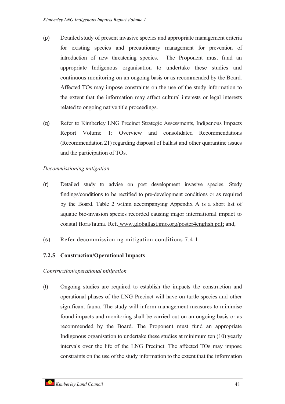- (p) Detailed study of present invasive species and appropriate management criteria for existing species and precautionary management for prevention of introduction of new threatening species. The Proponent must fund an appropriate Indigenous organisation to undertake these studies and continuous monitoring on an ongoing basis or as recommended by the Board. Affected TOs may impose constraints on the use of the study information to the extent that the information may affect cultural interests or legal interests related to ongoing native title proceedings.
- (q) Refer to Kimberley LNG Precinct Strategic Assessments, Indigenous Impacts Report Volume 1: Overview and consolidated Recommendations (Recommendation 21) regarding disposal of ballast and other quarantine issues and the participation of TOs.

# *Decommissioning mitigation*

- (r) Detailed study to advise on post development invasive species. Study findings/conditions to be rectified to pre-development conditions or as required by the Board. Table 2 within accompanying Appendix A is a short list of aquatic bio-invasion species recorded causing major international impact to coastal flora/fauna. Ref. www.globallast.imo.org/poster4english.pdf; and,
- (s) Refer decommissioning mitigation conditions 7.4.1.

# **7.2.5 Construction/Operational Impacts**

*Construction/operational mitigation*

(t) Ongoing studies are required to establish the impacts the construction and operational phases of the LNG Precinct will have on turtle species and other significant fauna. The study will inform management measures to minimise found impacts and monitoring shall be carried out on an ongoing basis or as recommended by the Board. The Proponent must fund an appropriate Indigenous organisation to undertake these studies at minimum ten (10) yearly intervals over the life of the LNG Precinct. The affected TOs may impose constraints on the use of the study information to the extent that the information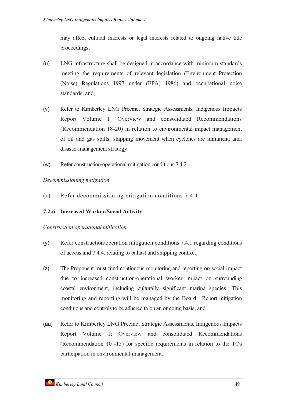may affect cultural interests or legal interests related to ongoing native title proceedings;

- (u) LNG infrastructure shall be designed in accordance with minimum standards meeting the requirements of relevant legislation (Environment Protection (Noise) Regulations 1997 under (EPA) 1986) and occupational noise standards; and,
- (v) Refer to Kimberley LNG Precinct Strategic Assessments, Indigenous Impacts Report Volume 1: Overview and consolidated Recommendations (Recommendation 18-20) in relation to environmental impact management of oil and gas spills; shipping movement when cyclones are imminent; and, disaster management strategy.
- (w) Refer construction/operational mitigation conditions 7.4.2.

# *Decommissioning mitigation*

(x) Refer decommissioning mitigation conditions 7.4.1.

# **7.2.6 Increased Worker/Social Activity**

- (y) Refer construction/operation mitigation conditions 7.4.1 regarding conditions of access and 7.4.4. relating to ballast and shipping control.;
- (z) The Proponent must fund continuous monitoring and reporting on social impact due to increased construction/operational worker impact on surrounding coastal environment, including culturally significant marine species. This monitoring and reporting will be managed by the Board. Report mitigation conditions and controls to be adhered to on an ongoing basis; and
- (aa) Refer to Kimberley LNG Precinct Strategic Assessments, Indigenous Impacts Report Volume 1: Overview and consolidated Recommendations (Recommendation 10 -15) for specific requirements in relation to the TOs participation in environmental management.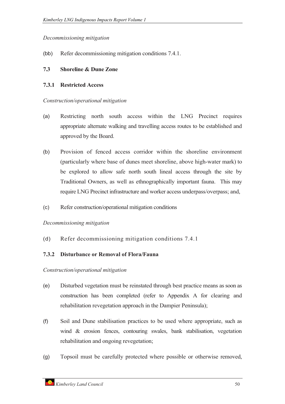#### *Decommissioning mitigation*

(bb) Refer decommissioning mitigation conditions 7.4.1.

#### **7.3 Shoreline & Dune Zone**

#### **7.3.1 Restricted Access**

#### *Construction/operational mitigation*

- (a) Restricting north south access within the LNG Precinct requires appropriate alternate walking and travelling access routes to be established and approved by the Board.
- (b) Provision of fenced access corridor within the shoreline environment (particularly where base of dunes meet shoreline, above high-water mark) to be explored to allow safe north south lineal access through the site by Traditional Owners, as well as ethnographically important fauna. This may require LNG Precinct infrastructure and worker access underpass/overpass; and,
- (c) Refer construction/operational mitigation conditions

#### *Decommissioning mitigation*

(d) Refer decommissioning mitigation conditions 7.4.1

# **7.3.2 Disturbance or Removal of Flora/Fauna**

- (e) Disturbed vegetation must be reinstated through best practice means as soon as construction has been completed (refer to Appendix A for clearing and rehabilitation revegetation approach in the Dampier Peninsula);
- (f) Soil and Dune stabilisation practices to be used where appropriate, such as wind & erosion fences, contouring swales, bank stabilisation, vegetation rehabilitation and ongoing revegetation;
- (g) Topsoil must be carefully protected where possible or otherwise removed,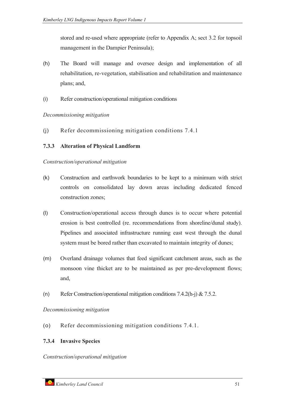stored and re-used where appropriate (refer to Appendix A; sect 3.2 for topsoil management in the Dampier Peninsula);

- (h) The Board will manage and oversee design and implementation of all rehabilitation, re-vegetation, stabilisation and rehabilitation and maintenance plans; and,
- (i) Refer construction/operational mitigation conditions

# *Decommissioning mitigation*

(j) Refer decommissioning mitigation conditions 7.4.1

# **7.3.3 Alteration of Physical Landform**

#### *Construction/operational mitigation*

- (k) Construction and earthwork boundaries to be kept to a minimum with strict controls on consolidated lay down areas including dedicated fenced construction zones;
- (l) Construction/operational access through dunes is to occur where potential erosion is best controlled (re. recommendations from shoreline/dunal study). Pipelines and associated infrastructure running east west through the dunal system must be bored rather than excavated to maintain integrity of dunes;
- (m) Overland drainage volumes that feed significant catchment areas, such as the monsoon vine thicket are to be maintained as per pre-development flows; and,
- (n) Refer Construction/operational mitigation conditions 7.4.2(h-j) & 7.5.2.

# *Decommissioning mitigation*

(o) Refer decommissioning mitigation conditions 7.4.1.

# **7.3.4 Invasive Species**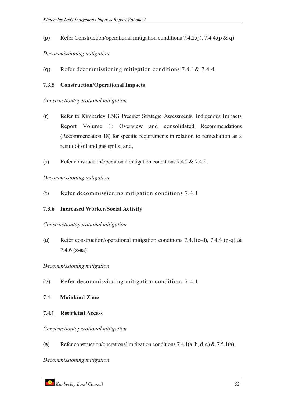(p) Refer Construction/operational mitigation conditions 7.4.2.(j), 7.4.4.(p & q)

#### *Decommissioning mitigation*

(q) Refer decommissioning mitigation conditions 7.4.1& 7.4.4.

#### **7.3.5 Construction/Operational Impacts**

#### *Construction/operational mitigation*

- (r) Refer to Kimberley LNG Precinct Strategic Assessments, Indigenous Impacts Report Volume 1: Overview and consolidated Recommendations (Recommendation 18) for specific requirements in relation to remediation as a result of oil and gas spills; and,
- (s) Refer construction/operational mitigation conditions 7.4.2 & 7.4.5.

*Decommissioning mitigation*

(t) Refer decommissioning mitigation conditions 7.4.1

# **7.3.6 Increased Worker/Social Activity**

*Construction/operational mitigation*

(u) Refer construction/operational mitigation conditions 7.4.1(e-d), 7.4.4 (p-q) & 7.4.6 (z-aa)

#### *Decommissioning mitigation*

- (v) Refer decommissioning mitigation conditions 7.4.1
- 7.4 **Mainland Zone**

# **7.4.1 Restricted Access**

*Construction/operational mitigation*

(a) Refer construction/operational mitigation conditions 7.4.1(a, b, d, e) & 7.5.1(a).

*Decommissioning mitigation*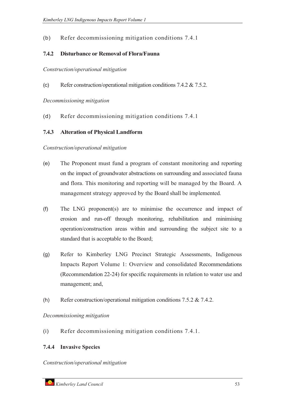# (b) Refer decommissioning mitigation conditions 7.4.1

# **7.4.2 Disturbance or Removal of Flora/Fauna**

*Construction/operational mitigation*

(c) Refer construction/operational mitigation conditions 7.4.2 & 7.5.2.

*Decommissioning mitigation*

(d) Refer decommissioning mitigation conditions 7.4.1

# **7.4.3 Alteration of Physical Landform**

#### *Construction/operational mitigation*

- (e) The Proponent must fund a program of constant monitoring and reporting on the impact of groundwater abstractions on surrounding and associated fauna and flora. This monitoring and reporting will be managed by the Board. A management strategy approved by the Board shall be implemented.
- (f) The LNG proponent(s) are to minimise the occurrence and impact of erosion and run-off through monitoring, rehabilitation and minimising operation/construction areas within and surrounding the subject site to a standard that is acceptable to the Board;
- (g) Refer to Kimberley LNG Precinct Strategic Assessments, Indigenous Impacts Report Volume 1: Overview and consolidated Recommendations (Recommendation 22-24) for specific requirements in relation to water use and management; and,
- (h) Refer construction/operational mitigation conditions  $7.5.2 \& 7.4.2$ .

*Decommissioning mitigation*

(i) Refer decommissioning mitigation conditions 7.4.1.

# **7.4.4 Invasive Species**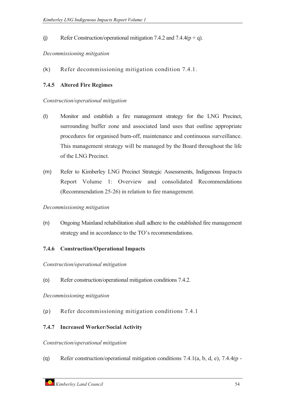(j) Refer Construction/operational mitigation 7.4.2 and 7.4.4( $p + q$ ).

#### *Decommissioning mitigation*

(k) Refer decommissioning mitigation condition 7.4.1.

# **7.4.5 Altered Fire Regimes**

#### *Construction/operational mitigation*

- (l) Monitor and establish a fire management strategy for the LNG Precinct, surrounding buffer zone and associated land uses that outline appropriate procedures for organised burn-off, maintenance and continuous surveillance. This management strategy will be managed by the Board throughout the life of the LNG Precinct.
- (m) Refer to Kimberley LNG Precinct Strategic Assessments, Indigenous Impacts Report Volume 1: Overview and consolidated Recommendations (Recommendation 25-26) in relation to fire management.

# *Decommissioning mitigation*

(n) Ongoing Mainland rehabilitation shall adhere to the established fire management strategy and in accordance to the TO's recommendations.

# **7.4.6 Construction/Operational Impacts**

*Construction/operational mitigation*

(o) Refer construction/operational mitigation conditions 7.4.2.

#### *Decommissioning mitigation*

(p) Refer decommissioning mitigation conditions 7.4.1

# **7.4.7 Increased Worker/Social Activity**

#### *Construction/operational mitigation*

(q) Refer construction/operational mitigation conditions 7.4.1(a, b, d, e), 7.4.4(p -